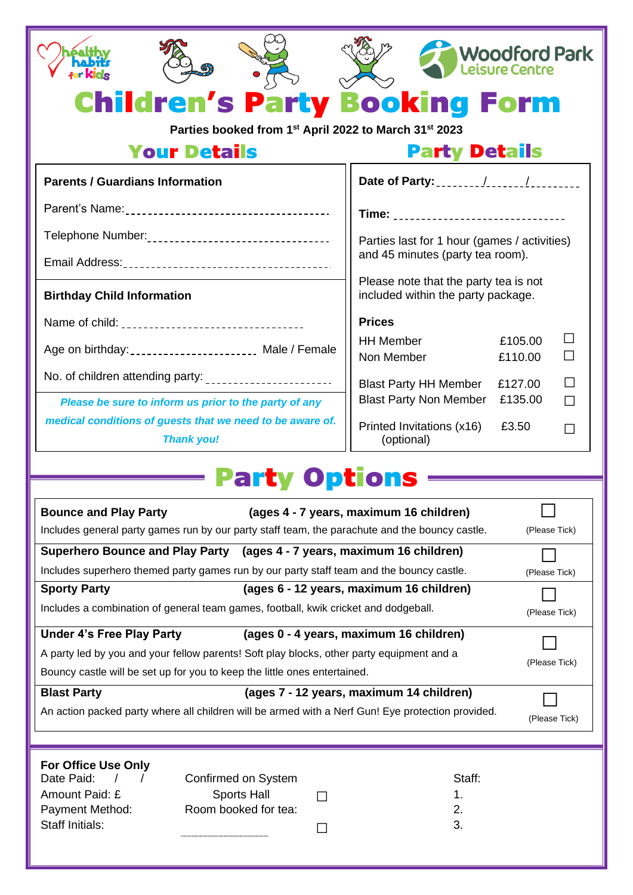|                                                                                                                                                                     | <b>Woodford Park</b><br>eisure Centre.                                                                         |  |
|---------------------------------------------------------------------------------------------------------------------------------------------------------------------|----------------------------------------------------------------------------------------------------------------|--|
| <b>Children's Party Booking Form</b>                                                                                                                                |                                                                                                                |  |
| Parties booked from 1 <sup>st</sup> April 2022 to March 31 <sup>st</sup> 2023                                                                                       |                                                                                                                |  |
| <b>Your Details</b>                                                                                                                                                 | <b>Party Details</b>                                                                                           |  |
| <b>Parents / Guardians Information</b>                                                                                                                              |                                                                                                                |  |
|                                                                                                                                                                     | Time: _________________________________                                                                        |  |
|                                                                                                                                                                     | Parties last for 1 hour (games / activities)                                                                   |  |
|                                                                                                                                                                     | and 45 minutes (party tea room).                                                                               |  |
| <b>Birthday Child Information</b>                                                                                                                                   | Please note that the party tea is not<br>included within the party package.                                    |  |
|                                                                                                                                                                     | <b>Prices</b>                                                                                                  |  |
| Age on birthday: _______________________ Male / Female                                                                                                              | $\mathsf{L}$<br><b>HH Member</b><br>£105.00                                                                    |  |
| No. of children attending party: _______________________                                                                                                            | Non Member<br>£110.00<br>ΙI                                                                                    |  |
| Please be sure to inform us prior to the party of any                                                                                                               | <b>Blast Party HH Member</b><br>£127.00<br>$\mathsf{L}$<br><b>Blast Party Non Member</b><br>£135.00<br>$\perp$ |  |
| medical conditions of guests that we need to be aware of.<br><b>Thank you!</b>                                                                                      | Printed Invitations (x16)<br>£3.50<br>$\Box$<br>(optional)                                                     |  |
|                                                                                                                                                                     |                                                                                                                |  |
| Party Option                                                                                                                                                        |                                                                                                                |  |
| <b>Bounce and Play Party</b>                                                                                                                                        | (ages 4 - 7 years, maximum 16 children)                                                                        |  |
| Includes general party games run by our party staff team, the parachute and the bouncy castle.                                                                      | (Please Tick)                                                                                                  |  |
| Superhero Bounce and Play Party (ages 4 - 7 years, maximum 16 children)<br>Includes superhero themed party games run by our party staff team and the bouncy castle. |                                                                                                                |  |
| <b>Sporty Party</b>                                                                                                                                                 | (Please Tick)<br>(ages 6 - 12 years, maximum 16 children)                                                      |  |
| Includes a combination of general team games, football, kwik cricket and dodgeball.                                                                                 | (Please Tick)                                                                                                  |  |
| (ages 0 - 4 years, maximum 16 children)<br><b>Under 4's Free Play Party</b>                                                                                         |                                                                                                                |  |
| A party led by you and your fellow parents! Soft play blocks, other party equipment and a                                                                           | (Please Tick)                                                                                                  |  |
| Bouncy castle will be set up for you to keep the little ones entertained.                                                                                           |                                                                                                                |  |
| <b>Blast Party</b>                                                                                                                                                  | (ages 7 - 12 years, maximum 14 children)                                                                       |  |
| An action packed party where all children will be armed with a Nerf Gun! Eye protection provided.                                                                   | (Please Tick)                                                                                                  |  |
|                                                                                                                                                                     |                                                                                                                |  |
| For Office Use Only<br>Date Paid:<br>Confirmed on System                                                                                                            | Staff:                                                                                                         |  |
| <b>Sports Hall</b><br>Amount Paid: £<br>$\sim$                                                                                                                      | 1.                                                                                                             |  |
| Room booked for tea:<br>Payment Method:<br>Staff Initials:                                                                                                          | 2.                                                                                                             |  |
| $\sim$ 1                                                                                                                                                            | 3.                                                                                                             |  |